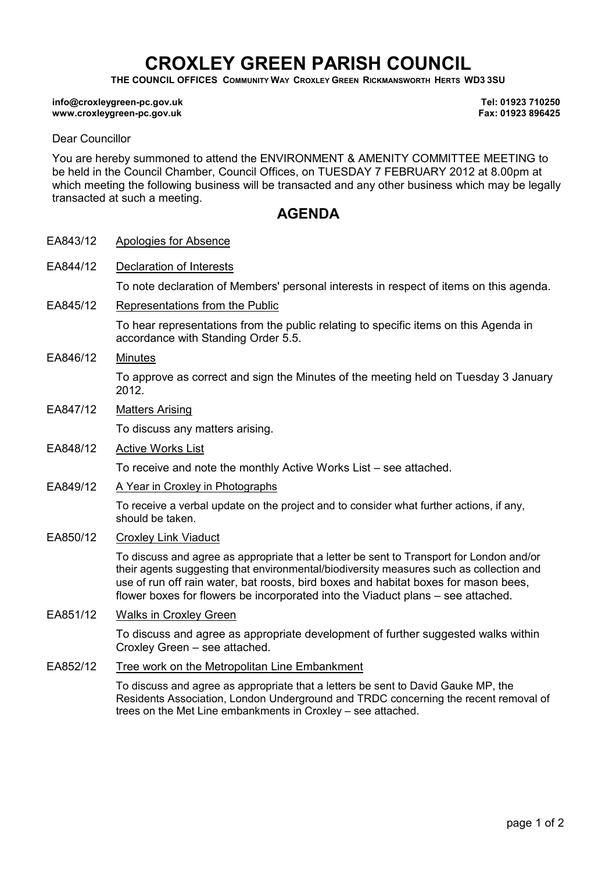# CROXLEY GREEN PARISH COUNCIL

THE COUNCIL OFFICES COMMUNITY WAY CROXLEY GREEN RICKMANSWORTH HERTS WD3 3SU

#### info@croxleygreen-pc.gov.uk www.croxleygreen-pc.gov.uk

Tel: 01923 710250 Fax: 01923 896425

#### Dear Councillor

You are hereby summoned to attend the ENVIRONMENT & AMENITY COMMITTEE MEETING to be held in the Council Chamber, Council Offices, on TUESDAY 7 FEBRUARY 2012 at 8.00pm at which meeting the following business will be transacted and any other business which may be legally transacted at such a meeting.

## **AGENDA**

- EA843/12 Apologies for Absence
- EA844/12 Declaration of Interests

To note declaration of Members' personal interests in respect of items on this agenda.

EA845/12 Representations from the Public

To hear representations from the public relating to specific items on this Agenda in accordance with Standing Order 5.5.

- EA846/12 Minutes To approve as correct and sign the Minutes of the meeting held on Tuesday 3 January 2012.
- EA847/12 Matters Arising

To discuss any matters arising.

- EA848/12 Active Works List To receive and note the monthly Active Works List – see attached.
- EA849/12 A Year in Croxley in Photographs

To receive a verbal update on the project and to consider what further actions, if any, should be taken.

EA850/12 Croxley Link Viaduct

To discuss and agree as appropriate that a letter be sent to Transport for London and/or their agents suggesting that environmental/biodiversity measures such as collection and use of run off rain water, bat roosts, bird boxes and habitat boxes for mason bees, flower boxes for flowers be incorporated into the Viaduct plans – see attached.

EA851/12 Walks in Croxley Green

To discuss and agree as appropriate development of further suggested walks within Croxley Green – see attached.

### EA852/12 Tree work on the Metropolitan Line Embankment

To discuss and agree as appropriate that a letters be sent to David Gauke MP, the Residents Association, London Underground and TRDC concerning the recent removal of trees on the Met Line embankments in Croxley – see attached.